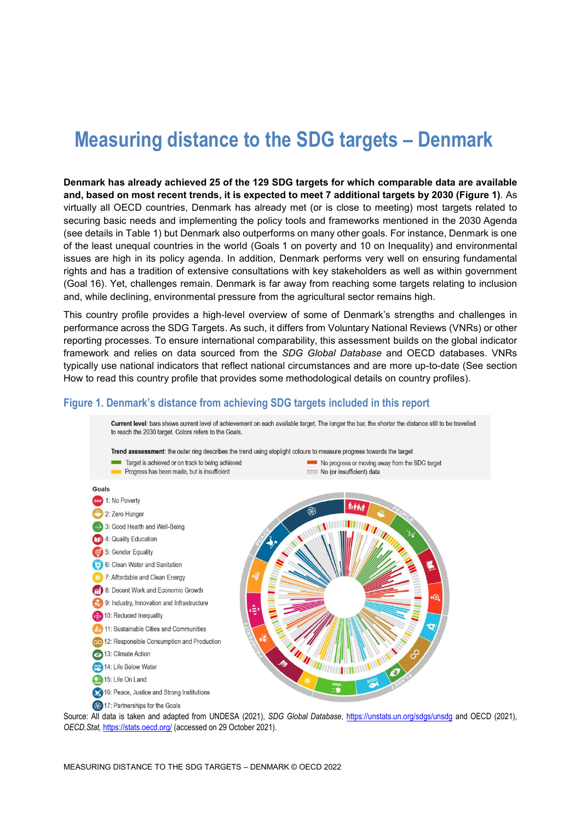# **Measuring distance to the SDG targets – Denmark**

**Denmark has already achieved 25 of the 129 SDG targets for which comparable data are available and, based on most recent trends, it is expected to meet 7 additional targets by 2030 [\(Figure](#page-0-0) 1)**. As virtually all OECD countries, Denmark has already met (or is close to meeting) most targets related to securing basic needs and implementing the policy tools and frameworks mentioned in the 2030 Agenda (see details in [Table](#page-2-0) 1) but Denmark also outperforms on many other goals. For instance, Denmark is one of the least unequal countries in the world (Goals 1 on poverty and 10 on Inequality) and environmental issues are high in its policy agenda. In addition, Denmark performs very well on ensuring fundamental rights and has a tradition of extensive consultations with key stakeholders as well as within government (Goal 16). Yet, challenges remain. Denmark is far away from reaching some targets relating to inclusion and, while declining, environmental pressure from the agricultural sector remains high.

This country profile provides a high-level overview of some of Denmark's strengths and challenges in performance across the SDG Targets. As such, it differs from Voluntary National Reviews (VNRs) or other reporting processes. To ensure international comparability, this assessment builds on the global indicator framework and relies on data sourced from the *SDG Global Database* and OECD databases. VNRs typically use national indicators that reflect national circumstances and are more up-to-date (See section [How to read this](#page-6-0) country profile that provides some methodological details on country profiles).

## <span id="page-0-0"></span>**Figure 1. Denmark's distance from achieving SDG targets included in this report**



Source: All data is taken and adapted from UNDESA (2021), *SDG Global Database*,<https://unstats.un.org/sdgs/unsdg> and OECD (2021), *OECD.Stat,* <https://stats.oecd.org/> (accessed on 29 October 2021).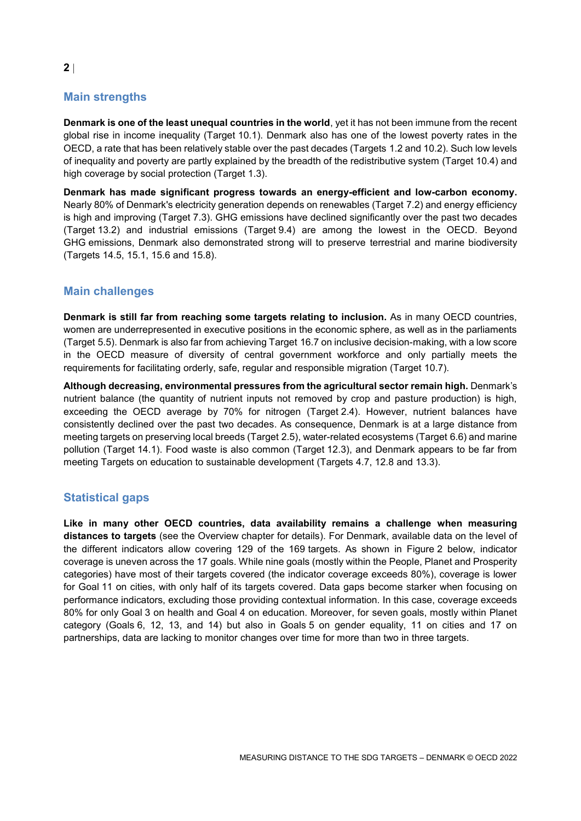# **Main strengths**

**Denmark is one of the least unequal countries in the world**, yet it has not been immune from the recent global rise in income inequality (Target 10.1). Denmark also has one of the lowest poverty rates in the OECD, a rate that has been relatively stable over the past decades (Targets 1.2 and 10.2). Such low levels of inequality and poverty are partly explained by the breadth of the redistributive system (Target 10.4) and high coverage by social protection (Target 1.3).

**Denmark has made significant progress towards an energy-efficient and low-carbon economy.** Nearly 80% of Denmark's electricity generation depends on renewables (Target 7.2) and energy efficiency is high and improving (Target 7.3). GHG emissions have declined significantly over the past two decades (Target 13.2) and industrial emissions (Target 9.4) are among the lowest in the OECD. Beyond GHG emissions, Denmark also demonstrated strong will to preserve terrestrial and marine biodiversity (Targets 14.5, 15.1, 15.6 and 15.8).

# **Main challenges**

**Denmark is still far from reaching some targets relating to inclusion.** As in many OECD countries, women are underrepresented in executive positions in the economic sphere, as well as in the parliaments (Target 5.5). Denmark is also far from achieving Target 16.7 on inclusive decision-making, with a low score in the OECD measure of diversity of central government workforce and only partially meets the requirements for facilitating orderly, safe, regular and responsible migration (Target 10.7).

**Although decreasing, environmental pressures from the agricultural sector remain high.** Denmark's nutrient balance (the quantity of nutrient inputs not removed by crop and pasture production) is high, exceeding the OECD average by 70% for nitrogen (Target 2.4). However, nutrient balances have consistently declined over the past two decades. As consequence, Denmark is at a large distance from meeting targets on preserving local breeds (Target 2.5), water-related ecosystems (Target 6.6) and marine pollution (Target 14.1). Food waste is also common (Target 12.3), and Denmark appears to be far from meeting Targets on education to sustainable development (Targets 4.7, 12.8 and 13.3).

# **Statistical gaps**

**Like in many other OECD countries, data availability remains a challenge when measuring distances to targets** (see the Overview chapter for details). For Denmark, available data on the level of the different indicators allow covering 129 of the 169 targets. As shown in [Figure](#page-2-1) 2 below, indicator coverage is uneven across the 17 goals. While nine goals (mostly within the People, Planet and Prosperity categories) have most of their targets covered (the indicator coverage exceeds 80%), coverage is lower for Goal 11 on cities, with only half of its targets covered. Data gaps become starker when focusing on performance indicators, excluding those providing contextual information. In this case, coverage exceeds 80% for only Goal 3 on health and Goal 4 on education. Moreover, for seven goals, mostly within Planet category (Goals 6, 12, 13, and 14) but also in Goals 5 on gender equality, 11 on cities and 17 on partnerships, data are lacking to monitor changes over time for more than two in three targets.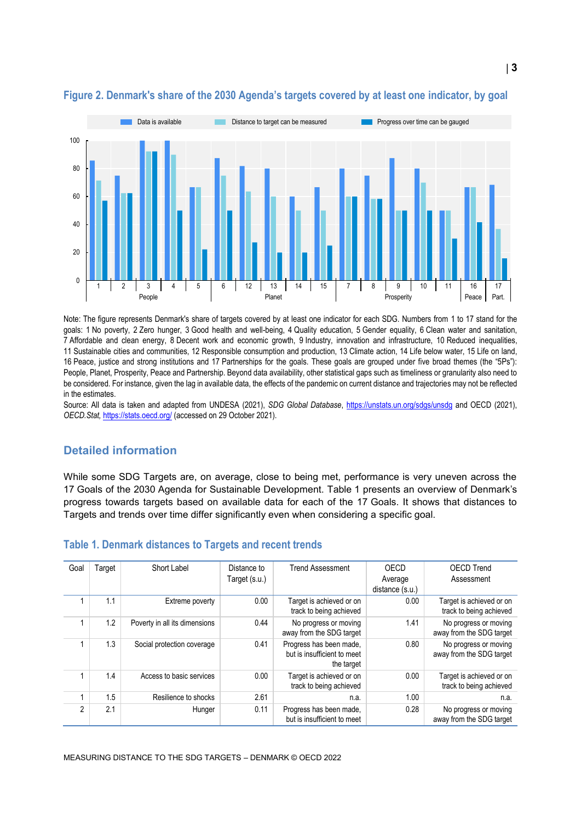

## <span id="page-2-1"></span>**Figure 2. Denmark's share of the 2030 Agenda's targets covered by at least one indicator, by goal**

Note: The figure represents Denmark's share of targets covered by at least one indicator for each SDG. Numbers from 1 to 17 stand for the goals: 1 No poverty, 2 Zero hunger, 3 Good health and well-being, 4 Quality education, 5 Gender equality, 6 Clean water and sanitation, 7 Affordable and clean energy, 8 Decent work and economic growth, 9 Industry, innovation and infrastructure, 10 Reduced inequalities, 11 Sustainable cities and communities, 12 Responsible consumption and production, 13 Climate action, 14 Life below water, 15 Life on land, 16 Peace, justice and strong institutions and 17 Partnerships for the goals. These goals are grouped under five broad themes (the "5Ps"): People, Planet, Prosperity, Peace and Partnership. Beyond data availability, other statistical gaps such as timeliness or granularity also need to be considered. For instance, given the lag in available data, the effects of the pandemic on current distance and trajectories may not be reflected in the estimates.

Source: All data is taken and adapted from UNDESA (2021), *SDG Global Database*,<https://unstats.un.org/sdgs/unsdg> and OECD (2021), *OECD.Stat,* <https://stats.oecd.org/> (accessed on 29 October 2021).

## **Detailed information**

While some SDG Targets are, on average, close to being met, performance is very uneven across the 17 Goals of the 2030 Agenda for Sustainable Development. [Table](#page-2-0) 1 presents an overview of Denmark's progress towards targets based on available data for each of the 17 Goals. It shows that distances to Targets and trends over time differ significantly even when considering a specific goal.

| Goal           | Гarget | Short Label                   | Distance to<br>Target (s.u.) | <b>Trend Assessment</b>                                              | OECD<br>Average<br>distance (s.u.) | <b>OECD Trend</b><br>Assessment                     |
|----------------|--------|-------------------------------|------------------------------|----------------------------------------------------------------------|------------------------------------|-----------------------------------------------------|
|                | 1.1    | Extreme poverty               | 0.00                         | Target is achieved or on<br>track to being achieved                  | 0.00                               | Target is achieved or on<br>track to being achieved |
|                | 1.2    | Poverty in all its dimensions | 0.44                         | No progress or moving<br>away from the SDG target                    | 1.41                               | No progress or moving<br>away from the SDG target   |
|                | 1.3    | Social protection coverage    | 0.41                         | Progress has been made.<br>but is insufficient to meet<br>the target | 0.80                               | No progress or moving<br>away from the SDG target   |
|                | 1.4    | Access to basic services      | 0.00                         | Target is achieved or on<br>track to being achieved                  | 0.00                               | Target is achieved or on<br>track to being achieved |
|                | 1.5    | Resilience to shocks          | 2.61                         | n.a.                                                                 | 1.00                               | n.a.                                                |
| $\mathfrak{p}$ | 2.1    | Hunger                        | 0.11                         | Progress has been made.<br>but is insufficient to meet               | 0.28                               | No progress or moving<br>away from the SDG target   |

#### <span id="page-2-0"></span>**Table 1. Denmark distances to Targets and recent trends**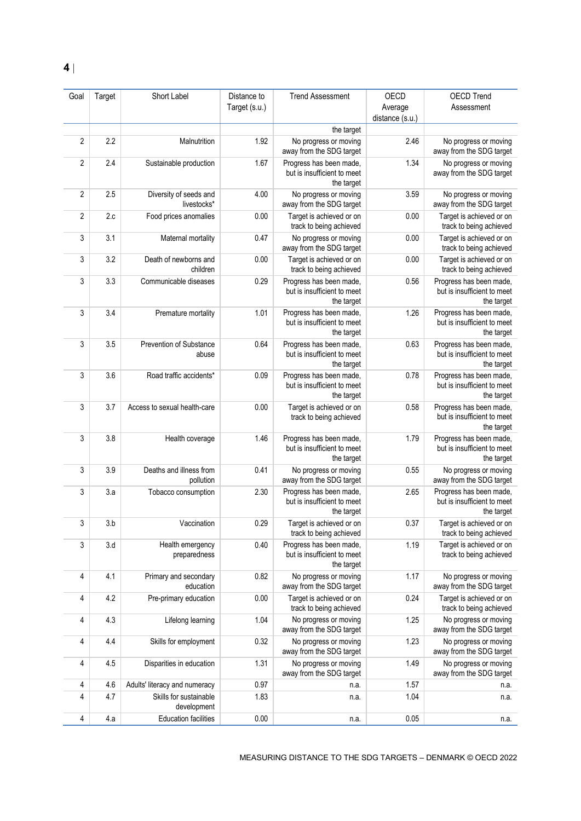| Goal           | Target | Short Label                           | Distance to   | <b>Trend Assessment</b>                                              | OECD            | <b>OECD Trend</b>                                                    |
|----------------|--------|---------------------------------------|---------------|----------------------------------------------------------------------|-----------------|----------------------------------------------------------------------|
|                |        |                                       | Target (s.u.) |                                                                      | Average         | Assessment                                                           |
|                |        |                                       |               |                                                                      | distance (s.u.) |                                                                      |
|                |        |                                       |               | the target                                                           |                 |                                                                      |
| $\overline{2}$ | 2.2    | Malnutrition                          | 1.92          | No progress or moving<br>away from the SDG target                    | 2.46            | No progress or moving<br>away from the SDG target                    |
| 2              | 2.4    | Sustainable production                | 1.67          | Progress has been made,<br>but is insufficient to meet<br>the target | 1.34            | No progress or moving<br>away from the SDG target                    |
| 2              | 2.5    | Diversity of seeds and<br>livestocks* | 4.00          | No progress or moving<br>away from the SDG target                    | 3.59            | No progress or moving<br>away from the SDG target                    |
| 2              | 2.c    | Food prices anomalies                 | 0.00          | Target is achieved or on<br>track to being achieved                  | 0.00            | Target is achieved or on<br>track to being achieved                  |
| 3              | 3.1    | Maternal mortality                    | 0.47          | No progress or moving<br>away from the SDG target                    | 0.00            | Target is achieved or on<br>track to being achieved                  |
| 3              | 3.2    | Death of newborns and<br>children     | 0.00          | Target is achieved or on<br>track to being achieved                  | 0.00            | Target is achieved or on<br>track to being achieved                  |
| 3              | 3.3    | Communicable diseases                 | 0.29          | Progress has been made,<br>but is insufficient to meet<br>the target | 0.56            | Progress has been made.<br>but is insufficient to meet<br>the target |
| 3              | 3.4    | Premature mortality                   | 1.01          | Progress has been made,<br>but is insufficient to meet<br>the target | 1.26            | Progress has been made,<br>but is insufficient to meet<br>the target |
| 3              | 3.5    | Prevention of Substance<br>abuse      | 0.64          | Progress has been made,<br>but is insufficient to meet<br>the target | 0.63            | Progress has been made,<br>but is insufficient to meet<br>the target |
| 3              | 3.6    | Road traffic accidents*               | 0.09          | Progress has been made,<br>but is insufficient to meet<br>the target | 0.78            | Progress has been made,<br>but is insufficient to meet<br>the target |
| 3              | 3.7    | Access to sexual health-care          | 0.00          | Target is achieved or on<br>track to being achieved                  | 0.58            | Progress has been made,<br>but is insufficient to meet<br>the target |
| 3              | 3.8    | Health coverage                       | 1.46          | Progress has been made,<br>but is insufficient to meet<br>the target | 1.79            | Progress has been made,<br>but is insufficient to meet<br>the target |
| 3              | 3.9    | Deaths and illness from<br>pollution  | 0.41          | No progress or moving<br>away from the SDG target                    | 0.55            | No progress or moving<br>away from the SDG target                    |
| 3              | 3.a    | Tobacco consumption                   | 2.30          | Progress has been made,<br>but is insufficient to meet<br>the target | 2.65            | Progress has been made,<br>but is insufficient to meet<br>the target |
| 3              | 3.b    | Vaccination                           | 0.29          | Target is achieved or on<br>track to being achieved                  | 0.37            | Target is achieved or on<br>track to being achieved                  |
| 3              | 3.d    | Health emergency<br>preparedness      | 0.40          | Progress has been made,<br>but is insufficient to meet<br>the target | 1.19            | Target is achieved or on<br>track to being achieved                  |
| 4              | 4.1    | Primary and secondary<br>education    | 0.82          | No progress or moving<br>away from the SDG target                    | 1.17            | No progress or moving<br>away from the SDG target                    |
| 4              | 4.2    | Pre-primary education                 | 0.00          | Target is achieved or on<br>track to being achieved                  | 0.24            | Target is achieved or on<br>track to being achieved                  |
| 4              | 4.3    | Lifelong learning                     | 1.04          | No progress or moving<br>away from the SDG target                    | 1.25            | No progress or moving<br>away from the SDG target                    |
| 4              | 4.4    | Skills for employment                 | 0.32          | No progress or moving<br>away from the SDG target                    | 1.23            | No progress or moving<br>away from the SDG target                    |
| 4              | 4.5    | Disparities in education              | 1.31          | No progress or moving<br>away from the SDG target                    | 1.49            | No progress or moving<br>away from the SDG target                    |
| 4              | 4.6    | Adults' literacy and numeracy         | 0.97          | n.a.                                                                 | 1.57            | n.a.                                                                 |
| 4              | 4.7    | Skills for sustainable<br>development | 1.83          | n.a.                                                                 | 1.04            | n.a.                                                                 |
| $\overline{4}$ | 4.a    | <b>Education facilities</b>           | 0.00          | n.a.                                                                 | 0.05            | n.a.                                                                 |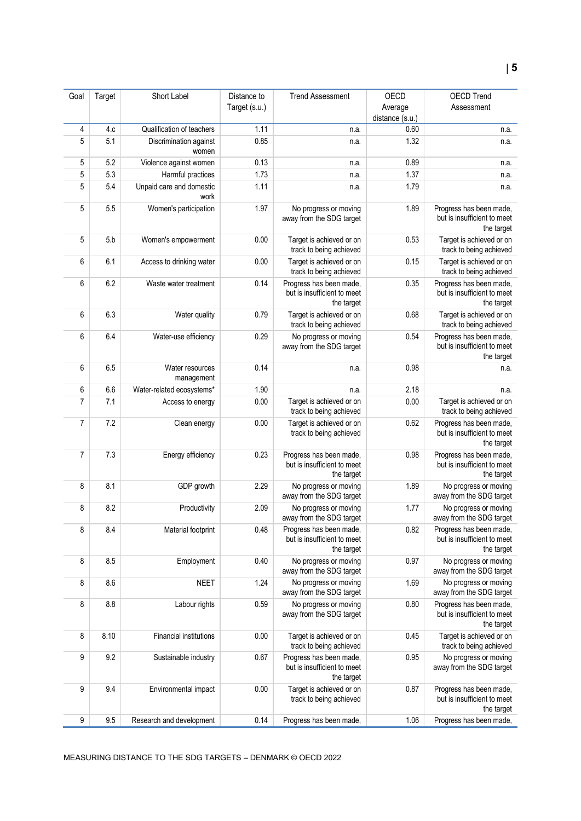| Goal           | Target | Short Label                      | Distance to<br>Target (s.u.) | <b>Trend Assessment</b>                                              | OECD<br>Average         | <b>OECD Trend</b><br>Assessment                                      |
|----------------|--------|----------------------------------|------------------------------|----------------------------------------------------------------------|-------------------------|----------------------------------------------------------------------|
|                | 4.c    | Qualification of teachers        | 1.11                         |                                                                      | distance (s.u.)<br>0.60 |                                                                      |
| 4<br>5         | 5.1    | Discrimination against<br>women  | 0.85                         | n.a.<br>n.a.                                                         | 1.32                    | n.a.<br>n.a.                                                         |
| 5              | 5.2    | Violence against women           | 0.13                         | n.a.                                                                 | 0.89                    | n.a.                                                                 |
| 5              | 5.3    | Harmful practices                | 1.73                         | n.a.                                                                 | 1.37                    | n.a.                                                                 |
| 5              | 5.4    | Unpaid care and domestic<br>work | 1.11                         | n.a.                                                                 | 1.79                    | n.a.                                                                 |
| 5              | 5.5    | Women's participation            | 1.97                         | No progress or moving<br>away from the SDG target                    | 1.89                    | Progress has been made,<br>but is insufficient to meet<br>the target |
| 5              | 5.b    | Women's empowerment              | 0.00                         | Target is achieved or on<br>track to being achieved                  | 0.53                    | Target is achieved or on<br>track to being achieved                  |
| 6              | 6.1    | Access to drinking water         | 0.00                         | Target is achieved or on<br>track to being achieved                  | 0.15                    | Target is achieved or on<br>track to being achieved                  |
| 6              | 6.2    | Waste water treatment            | 0.14                         | Progress has been made,<br>but is insufficient to meet<br>the target | 0.35                    | Progress has been made,<br>but is insufficient to meet<br>the target |
| 6              | 6.3    | Water quality                    | 0.79                         | Target is achieved or on<br>track to being achieved                  | 0.68                    | Target is achieved or on<br>track to being achieved                  |
| 6              | 6.4    | Water-use efficiency             | 0.29                         | No progress or moving<br>away from the SDG target                    | 0.54                    | Progress has been made,<br>but is insufficient to meet<br>the target |
| 6              | 6.5    | Water resources<br>management    | 0.14                         | n.a.                                                                 | 0.98                    | n.a.                                                                 |
| 6              | 6.6    | Water-related ecosystems*        | 1.90                         | n.a.                                                                 | 2.18                    | n.a.                                                                 |
| $\overline{7}$ | 7.1    | Access to energy                 | 0.00                         | Target is achieved or on<br>track to being achieved                  | 0.00                    | Target is achieved or on<br>track to being achieved                  |
| 7              | 7.2    | Clean energy                     | 0.00                         | Target is achieved or on<br>track to being achieved                  | 0.62                    | Progress has been made,<br>but is insufficient to meet<br>the target |
| 7              | 7.3    | Energy efficiency                | 0.23                         | Progress has been made,<br>but is insufficient to meet<br>the target | 0.98                    | Progress has been made,<br>but is insufficient to meet<br>the target |
| 8              | 8.1    | GDP growth                       | 2.29                         | No progress or moving<br>away from the SDG target                    | 1.89                    | No progress or moving<br>away from the SDG target                    |
| 8              | 8.2    | Productivity                     | 2.09                         | No progress or moving<br>away from the SDG target                    | 1.77                    | No progress or moving<br>away from the SDG target                    |
| 8              | 8.4    | Material footprint               | 0.48                         | Progress has been made,<br>but is insufficient to meet<br>the target | 0.82                    | Progress has been made,<br>but is insufficient to meet<br>the target |
| 8              | 8.5    | Employment                       | 0.40                         | No progress or moving<br>away from the SDG target                    | 0.97                    | No progress or moving<br>away from the SDG target                    |
| 8              | 8.6    | <b>NEET</b>                      | 1.24                         | No progress or moving<br>away from the SDG target                    | 1.69                    | No progress or moving<br>away from the SDG target                    |
| 8              | 8.8    | Labour rights                    | 0.59                         | No progress or moving<br>away from the SDG target                    | 0.80                    | Progress has been made,<br>but is insufficient to meet<br>the target |
| 8              | 8.10   | Financial institutions           | 0.00                         | Target is achieved or on<br>track to being achieved                  | 0.45                    | Target is achieved or on<br>track to being achieved                  |
| 9              | 9.2    | Sustainable industry             | 0.67                         | Progress has been made,<br>but is insufficient to meet<br>the target | 0.95                    | No progress or moving<br>away from the SDG target                    |
| 9              | 9.4    | Environmental impact             | 0.00                         | Target is achieved or on<br>track to being achieved                  | 0.87                    | Progress has been made,<br>but is insufficient to meet<br>the target |
| 9              | 9.5    | Research and development         | 0.14                         | Progress has been made,                                              | 1.06                    | Progress has been made,                                              |

MEASURING DISTANCE TO THE SDG TARGETS – DENMARK © OECD 2022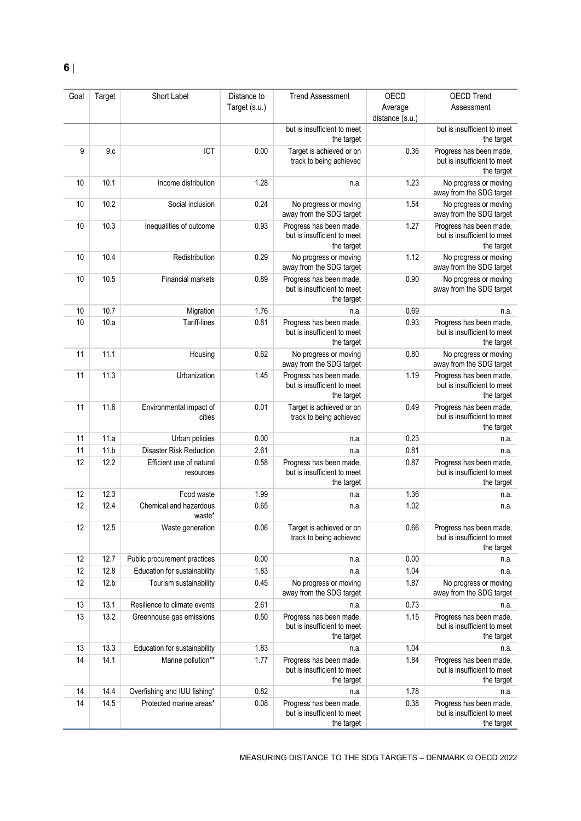| Goal | Target | Short Label                           | Distance to   | <b>Trend Assessment</b>                                              | OECD            | <b>OECD Trend</b>                                                    |
|------|--------|---------------------------------------|---------------|----------------------------------------------------------------------|-----------------|----------------------------------------------------------------------|
|      |        |                                       | Target (s.u.) |                                                                      | Average         | Assessment                                                           |
|      |        |                                       |               |                                                                      | distance (s.u.) |                                                                      |
|      |        |                                       |               | but is insufficient to meet<br>the target                            |                 | but is insufficient to meet<br>the target                            |
| 9    | 9.c    | ICT                                   | 0.00          | Target is achieved or on<br>track to being achieved                  | 0.36            | Progress has been made,<br>but is insufficient to meet<br>the target |
| 10   | 10.1   | Income distribution                   | 1.28          | n.a.                                                                 | 1.23            | No progress or moving<br>away from the SDG target                    |
| 10   | 10.2   | Social inclusion                      | 0.24          | No progress or moving<br>away from the SDG target                    | 1.54            | No progress or moving<br>away from the SDG target                    |
| 10   | 10.3   | Inequalities of outcome               | 0.93          | Progress has been made,<br>but is insufficient to meet<br>the target | 1.27            | Progress has been made,<br>but is insufficient to meet<br>the target |
| 10   | 10.4   | Redistribution                        | 0.29          | No progress or moving<br>away from the SDG target                    | 1.12            | No progress or moving<br>away from the SDG target                    |
| 10   | 10.5   | Financial markets                     | 0.89          | Progress has been made,<br>but is insufficient to meet<br>the target | 0.90            | No progress or moving<br>away from the SDG target                    |
| 10   | 10.7   | Migration                             | 1.76          | n.a.                                                                 | 0.69            | n.a.                                                                 |
| 10   | 10.a   | Tariff-lines                          | 0.81          | Progress has been made,<br>but is insufficient to meet<br>the target | 0.93            | Progress has been made,<br>but is insufficient to meet<br>the target |
| 11   | 11.1   | Housing                               | 0.62          | No progress or moving<br>away from the SDG target                    | 0.80            | No progress or moving<br>away from the SDG target                    |
| 11   | 11.3   | Urbanization                          | 1.45          | Progress has been made,<br>but is insufficient to meet<br>the target | 1.19            | Progress has been made,<br>but is insufficient to meet<br>the target |
| 11   | 11.6   | Environmental impact of<br>cities     | 0.01          | Target is achieved or on<br>track to being achieved                  | 0.49            | Progress has been made,<br>but is insufficient to meet<br>the target |
| 11   | 11.a   | Urban policies                        | 0.00          | n.a.                                                                 | 0.23            | n.a.                                                                 |
| 11   | 11.b   | Disaster Risk Reduction               | 2.61          | n.a.                                                                 | 0.81            | n.a.                                                                 |
| 12   | 12.2   | Efficient use of natural<br>resources | 0.58          | Progress has been made,<br>but is insufficient to meet<br>the target | 0.87            | Progress has been made,<br>but is insufficient to meet<br>the target |
| 12   | 12.3   | Food waste                            | 1.99          | n.a.                                                                 | 1.36            | n.a.                                                                 |
| 12   | 12.4   | Chemical and hazardous<br>waste*      | 0.65          | n.a.                                                                 | 1.02            | n.a.                                                                 |
| 12   | 12.5   | Waste generation                      | 0.06          | Target is achieved or on<br>track to being achieved                  | 0.66            | Progress has been made,<br>but is insufficient to meet<br>the target |
| 12   | 12.7   | Public procurement practices          | 0.00          | n.a.                                                                 | 0.00            | n.a.                                                                 |
| 12   | 12.8   | Education for sustainability          | 1.83          | n.a.                                                                 | 1.04            | n.a.                                                                 |
| 12   | 12.b   | Tourism sustainability                | 0.45          | No progress or moving<br>away from the SDG target                    | 1.87            | No progress or moving<br>away from the SDG target                    |
| 13   | 13.1   | Resilience to climate events          | 2.61          | n.a.                                                                 | 0.73            | n.a.                                                                 |
| 13   | 13.2   | Greenhouse gas emissions              | 0.50          | Progress has been made,<br>but is insufficient to meet<br>the target | 1.15            | Progress has been made,<br>but is insufficient to meet<br>the target |
| 13   | 13.3   | Education for sustainability          | 1.83          | n.a.                                                                 | 1.04            | n.a.                                                                 |
| 14   | 14.1   | Marine pollution**                    | 1.77          | Progress has been made,<br>but is insufficient to meet<br>the target | 1.84            | Progress has been made,<br>but is insufficient to meet<br>the target |
| 14   | 14.4   | Overfishing and IUU fishing*          | 0.82          | n.a.                                                                 | 1.78            | n.a.                                                                 |
| 14   | 14.5   | Protected marine areas*               | 0.08          | Progress has been made,<br>but is insufficient to meet<br>the target | 0.38            | Progress has been made,<br>but is insufficient to meet<br>the target |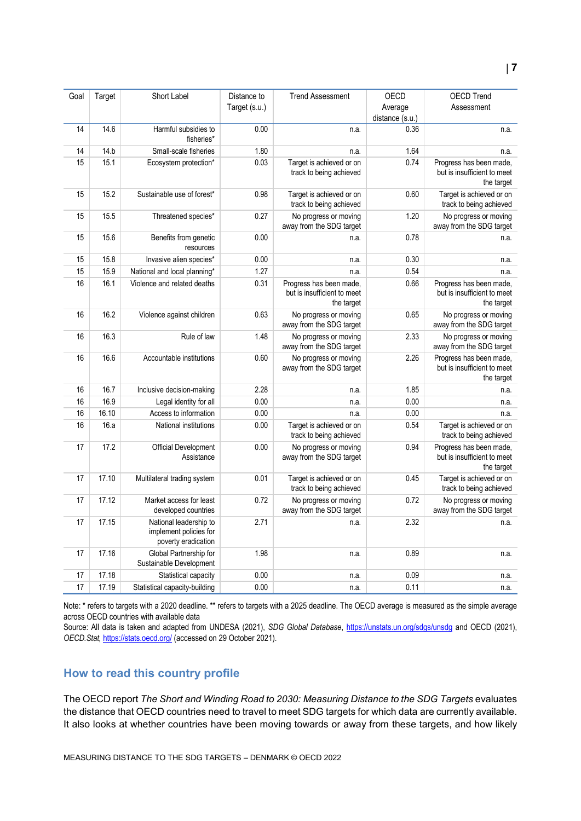| <b>OECD Trend</b><br>Assessment                                      | OECD<br>Average | <b>Trend Assessment</b>                                              | Distance to<br>Target (s.u.) | Short Label                                                             | Target | Goal |
|----------------------------------------------------------------------|-----------------|----------------------------------------------------------------------|------------------------------|-------------------------------------------------------------------------|--------|------|
|                                                                      | distance (s.u.) |                                                                      |                              |                                                                         |        |      |
| n.a.                                                                 | 0.36            | n.a.                                                                 | 0.00                         | Harmful subsidies to<br>fisheries*                                      | 14.6   | 14   |
| n.a.                                                                 | 1.64            | n.a.                                                                 | 1.80                         | Small-scale fisheries                                                   | 14.b   | 14   |
| Progress has been made,                                              | 0.74            | Target is achieved or on                                             | 0.03                         | Ecosystem protection*                                                   | 15.1   | 15   |
| but is insufficient to meet<br>the target                            |                 | track to being achieved                                              |                              |                                                                         |        |      |
| Target is achieved or on<br>track to being achieved                  | 0.60            | Target is achieved or on<br>track to being achieved                  | 0.98                         | Sustainable use of forest*                                              | 15.2   | 15   |
| No progress or moving<br>away from the SDG target                    | 1.20            | No progress or moving<br>away from the SDG target                    | 0.27                         | Threatened species*                                                     | 15.5   | 15   |
| n.a.                                                                 | 0.78            | n.a.                                                                 | 0.00                         | Benefits from genetic<br>resources                                      | 15.6   | 15   |
| n.a.                                                                 | 0.30            | n.a.                                                                 | 0.00                         | Invasive alien species*                                                 | 15.8   | 15   |
| n.a.                                                                 | 0.54            | n.a.                                                                 | 1.27                         | National and local planning*                                            | 15.9   | 15   |
| Progress has been made,<br>but is insufficient to meet<br>the target | 0.66            | Progress has been made,<br>but is insufficient to meet<br>the target | 0.31                         | Violence and related deaths                                             | 16.1   | 16   |
| No progress or moving<br>away from the SDG target                    | 0.65            | No progress or moving<br>away from the SDG target                    | 0.63                         | Violence against children                                               | 16.2   | 16   |
| No progress or moving<br>away from the SDG target                    | 2.33            | No progress or moving<br>away from the SDG target                    | 1.48                         | Rule of law                                                             | 16.3   | 16   |
| Progress has been made,<br>but is insufficient to meet<br>the target | 2.26            | No progress or moving<br>away from the SDG target                    | 0.60                         | Accountable institutions                                                | 16.6   | 16   |
| n.a.                                                                 | 1.85            | n.a.                                                                 | 2.28                         | Inclusive decision-making                                               | 16.7   | 16   |
| n.a.                                                                 | 0.00            | n.a.                                                                 | 0.00                         | Legal identity for all                                                  | 16.9   | 16   |
| n.a.                                                                 | 0.00            | n.a.                                                                 | 0.00                         | Access to information                                                   | 16.10  | 16   |
| Target is achieved or on<br>track to being achieved                  | 0.54            | Target is achieved or on<br>track to being achieved                  | 0.00                         | National institutions                                                   | 16.a   | 16   |
| Progress has been made,<br>but is insufficient to meet<br>the target | 0.94            | No progress or moving<br>away from the SDG target                    | 0.00                         | Official Development<br>Assistance                                      | 17.2   | 17   |
| Target is achieved or on<br>track to being achieved                  | 0.45            | Target is achieved or on<br>track to being achieved                  | 0.01                         | Multilateral trading system                                             | 17.10  | 17   |
| No progress or moving<br>away from the SDG target                    | 0.72            | No progress or moving<br>away from the SDG target                    | 0.72                         | Market access for least<br>developed countries                          | 17.12  | 17   |
| n.a.                                                                 | 2.32            | n.a.                                                                 | 2.71                         | National leadership to<br>implement policies for<br>poverty eradication | 17.15  | 17   |
| n.a.                                                                 | 0.89            | n.a.                                                                 | 1.98                         | Global Partnership for<br>Sustainable Development                       | 17.16  | 17   |
| n.a.                                                                 | 0.09            | n.a.                                                                 | 0.00                         | Statistical capacity                                                    | 17.18  | 17   |
| n.a.                                                                 | 0.11            | n.a.                                                                 | 0.00                         | Statistical capacity-building                                           | 17.19  | 17   |
|                                                                      |                 |                                                                      |                              |                                                                         |        |      |

Note: \* refers to targets with a 2020 deadline. \*\* refers to targets with a 2025 deadline. The OECD average is measured as the simple average across OECD countries with available data

Source: All data is taken and adapted from UNDESA (2021), *SDG Global Database*,<https://unstats.un.org/sdgs/unsdg> and OECD (2021), *OECD.Stat,* <https://stats.oecd.org/> (accessed on 29 October 2021).

## <span id="page-6-0"></span>**How to read this country profile**

The OECD report *The Short and Winding Road to 2030: Measuring Distance to the SDG Targets* evaluates the distance that OECD countries need to travel to meet SDG targets for which data are currently available. It also looks at whether countries have been moving towards or away from these targets, and how likely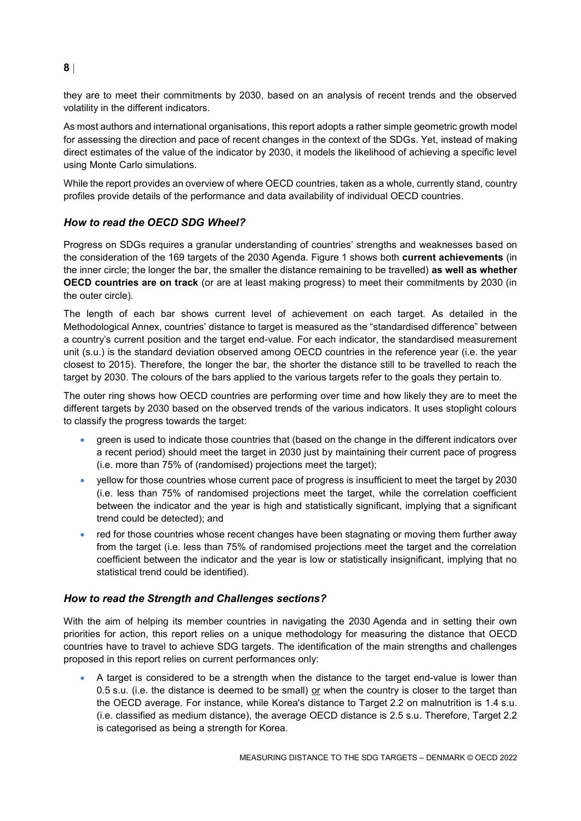they are to meet their commitments by 2030, based on an analysis of recent trends and the observed volatility in the different indicators.

As most authors and international organisations, this report adopts a rather simple geometric growth model for assessing the direction and pace of recent changes in the context of the SDGs. Yet, instead of making direct estimates of the value of the indicator by 2030, it models the likelihood of achieving a specific level using Monte Carlo simulations.

While the report provides an overview of where OECD countries, taken as a whole, currently stand, country profiles provide details of the performance and data availability of individual OECD countries.

## *How to read the OECD SDG Wheel?*

Progress on SDGs requires a granular understanding of countries' strengths and weaknesses based on the consideration of the 169 targets of the 2030 Agenda. [Figure](#page-0-0) 1 shows both **current achievements** (in the inner circle; the longer the bar, the smaller the distance remaining to be travelled) **as well as whether OECD countries are on track** (or are at least making progress) to meet their commitments by 2030 (in the outer circle).

The length of each bar shows current level of achievement on each target. As detailed in the Methodological Annex, countries' distance to target is measured as the "standardised difference" between a country's current position and the target end-value. For each indicator, the standardised measurement unit (s.u.) is the standard deviation observed among OECD countries in the reference year (i.e. the year closest to 2015). Therefore, the longer the bar, the shorter the distance still to be travelled to reach the target by 2030. The colours of the bars applied to the various targets refer to the goals they pertain to.

The outer ring shows how OECD countries are performing over time and how likely they are to meet the different targets by 2030 based on the observed trends of the various indicators. It uses stoplight colours to classify the progress towards the target:

- green is used to indicate those countries that (based on the change in the different indicators over a recent period) should meet the target in 2030 just by maintaining their current pace of progress (i.e. more than 75% of (randomised) projections meet the target);
- yellow for those countries whose current pace of progress is insufficient to meet the target by 2030 (i.e. less than 75% of randomised projections meet the target, while the correlation coefficient between the indicator and the year is high and statistically significant, implying that a significant trend could be detected); and
- red for those countries whose recent changes have been stagnating or moving them further away from the target (i.e. less than 75% of randomised projections meet the target and the correlation coefficient between the indicator and the year is low or statistically insignificant, implying that no statistical trend could be identified).

## *How to read the Strength and Challenges sections?*

With the aim of helping its member countries in navigating the 2030 Agenda and in setting their own priorities for action, this report relies on a unique methodology for measuring the distance that OECD countries have to travel to achieve SDG targets. The identification of the main strengths and challenges proposed in this report relies on current performances only:

 A target is considered to be a strength when the distance to the target end-value is lower than 0.5 s.u. (i.e. the distance is deemed to be small) or when the country is closer to the target than the OECD average. For instance, while Korea's distance to Target 2.2 on malnutrition is 1.4 s.u. (i.e. classified as medium distance), the average OECD distance is 2.5 s.u. Therefore, Target 2.2 is categorised as being a strength for Korea.

## **8**